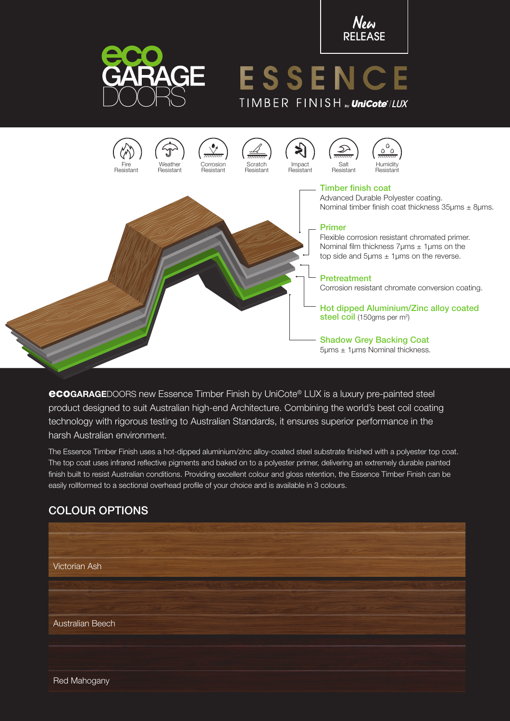



# ESSENC TIMBER FINISH<sub>N</sub>UniCote<sup>\*</sup>/LUX



eco**GARAGE**DOORS new Essence Timber Finish by UniCote® LUX is a luxury pre-painted steel product designed to suit Australian high-end Architecture. Combining the world's best coil coating technology with rigorous testing to Australian Standards, it ensures superior performance in the harsh Australian environment.

The Essence Timber Finish uses a hot-dipped aluminium/zinc alloy-coated steel substrate finished with a polyester top coat. The top coat uses infrared reflective pigments and baked on to a polyester primer, delivering an extremely durable painted finish built to resist Australian conditions. Providing excellent colour and gloss retention, the Essence Timber Finish can be easily rollformed to a sectional overhead profile of your choice and is available in 3 colours.

# COLOUR OPTIONS



Red Mahogany